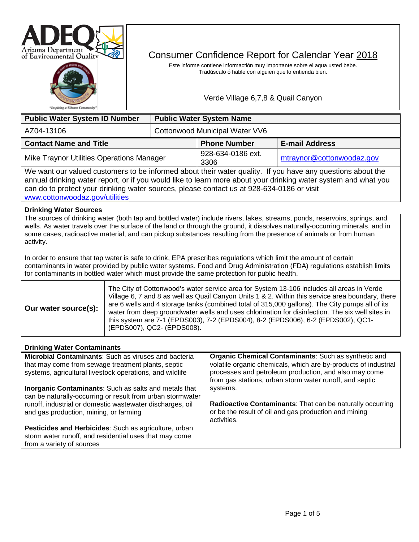



# Consumer Confidence Report for Calendar Year 2018

Este informe contiene informactión muy importante sobre el aqua usted bebe. Tradúscalo ó hable con alguien que lo entienda bien.

Verde Village 6,7,8 & Quail Canyon

| <b>Public Water System ID Number</b>      |                                | <b>Public Water System Name</b> |                           |  |
|-------------------------------------------|--------------------------------|---------------------------------|---------------------------|--|
| AZ04-13106                                | Cottonwood Municipal Water VV6 |                                 |                           |  |
| <b>Contact Name and Title</b>             |                                | <b>Phone Number</b>             | <b>E-mail Address</b>     |  |
| Mike Traynor Utilities Operations Manager |                                | 928-634-0186 ext.<br>3306       | mtraynor@cottonwoodaz.gov |  |

We want our valued customers to be informed about their water quality. If you have any questions about the annual drinking water report, or if you would like to learn more about your drinking water system and what you can do to protect your drinking water sources, please contact us at 928-634-0186 or visit [www.cottonwoodaz.gov/utilities](http://www.cottonwoodaz.gov/utilities) 

# **Drinking Water Sources**

The sources of drinking water (both tap and bottled water) include rivers, lakes, streams, ponds, reservoirs, springs, and wells. As water travels over the surface of the land or through the ground, it dissolves naturally-occurring minerals, and in some cases, radioactive material, and can pickup substances resulting from the presence of animals or from human activity.

In order to ensure that tap water is safe to drink, EPA prescribes regulations which limit the amount of certain contaminants in water provided by public water systems. Food and Drug Administration (FDA) regulations establish limits for contaminants in bottled water which must provide the same protection for public health.

# **Drinking Water Contaminants**

**Microbial Contaminants**: Such as viruses and bacteria that may come from sewage treatment plants, septic systems, agricultural livestock operations, and wildlife

**Inorganic Contaminants**: Such as salts and metals that can be naturally-occurring or result from urban stormwater runoff, industrial or domestic wastewater discharges, oil and gas production, mining, or farming

**Pesticides and Herbicides**: Such as agriculture, urban storm water runoff, and residential uses that may come from a variety of sources

**Organic Chemical Contaminants**: Such as synthetic and volatile organic chemicals, which are by-products of industrial processes and petroleum production, and also may come from gas stations, urban storm water runoff, and septic systems.

**Radioactive Contaminants**: That can be naturally occurring or be the result of oil and gas production and mining activities.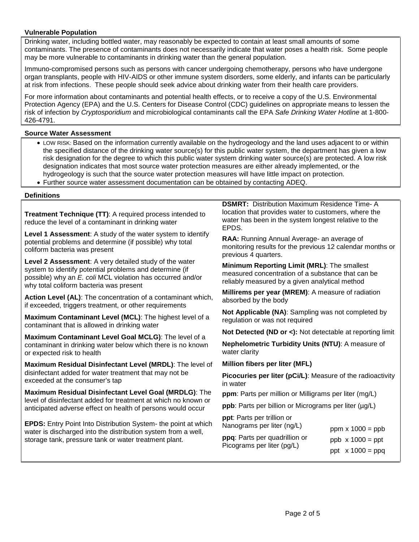# **Vulnerable Population**

Drinking water, including bottled water, may reasonably be expected to contain at least small amounts of some contaminants. The presence of contaminants does not necessarily indicate that water poses a health risk. Some people may be more vulnerable to contaminants in drinking water than the general population.

Immuno-compromised persons such as persons with cancer undergoing chemotherapy, persons who have undergone organ transplants, people with HIV-AIDS or other immune system disorders, some elderly, and infants can be particularly at risk from infections. These people should seek advice about drinking water from their health care providers.

For more information about contaminants and potential health effects, or to receive a copy of the U.S. Environmental Protection Agency (EPA) and the U.S. Centers for Disease Control (CDC) guidelines on appropriate means to lessen the risk of infection by *Cryptosporidium* and microbiological contaminants call the EPA *Safe Drinking Water Hotline* at 1-800- 426-4791.

# **Source Water Assessment**

- LOW RISK: Based on the information currently available on the hydrogeology and the land uses adjacent to or within the specified distance of the drinking water source(s) for this public water system, the department has given a low risk designation for the degree to which this public water system drinking water source(s) are protected. A low risk designation indicates that most source water protection measures are either already implemented, or the hydrogeology is such that the source water protection measures will have little impact on protection.
- Further source water assessment documentation can be obtained by contacting ADEQ.

#### **Definitions**

**Treatment Technique (TT)**: A required process intended to reduce the level of a contaminant in drinking water

**Level 1 Assessment**: A study of the water system to identify potential problems and determine (if possible) why total coliform bacteria was present

**Level 2 Assessment**: A very detailed study of the water system to identify potential problems and determine (if possible) why an *E. coli* MCL violation has occurred and/or why total coliform bacteria was present

**Action Level (AL)**: The concentration of a contaminant which, if exceeded, triggers treatment, or other requirements

**Maximum Contaminant Level (MCL)**: The highest level of a contaminant that is allowed in drinking water

**Maximum Contaminant Level Goal MCLG)**: The level of a contaminant in drinking water below which there is no known or expected risk to health

**Maximum Residual Disinfectant Level (MRDL)**: The level of disinfectant added for water treatment that may not be exceeded at the consumer's tap

**Maximum Residual Disinfectant Level Goal (MRDLG)**: The level of disinfectant added for treatment at which no known or anticipated adverse effect on health of persons would occur

**EPDS:** Entry Point Into Distribution System- the point at which water is discharged into the distribution system from a well, storage tank, pressure tank or water treatment plant.

**DSMRT:** Distribution Maximum Residence Time- A location that provides water to customers, where the water has been in the system longest relative to the EPDS.

**RAA:** Running Annual Average- an average of monitoring results for the previous 12 calendar months or previous 4 quarters.

**Minimum Reporting Limit (MRL)**: The smallest measured concentration of a substance that can be reliably measured by a given analytical method

**Millirems per year (MREM)**: A measure of radiation absorbed by the body

**Not Applicable (NA)**: Sampling was not completed by regulation or was not required

**Not Detected (ND or <):** Not detectable at reporting limit

**Nephelometric Turbidity Units (NTU)**: A measure of water clarity

**Million fibers per liter (MFL)**

**Picocuries per liter (pCi/L)**: Measure of the radioactivity in water

**ppm**: Parts per million or Milligrams per liter (mg/L)

ppb: Parts per billion or Micrograms per liter (µg/L)

**ppt**: Parts per trillion or Nanograms per liter (ng/L)

| Nanograms per liter (ng/L)    | ppm $x 1000 =$ ppb      |
|-------------------------------|-------------------------|
| ppq: Parts per quadrillion or | $ppb \times 1000 = ppt$ |
| Picograms per liter (pg/L)    | ppt $x 1000 = ppq$      |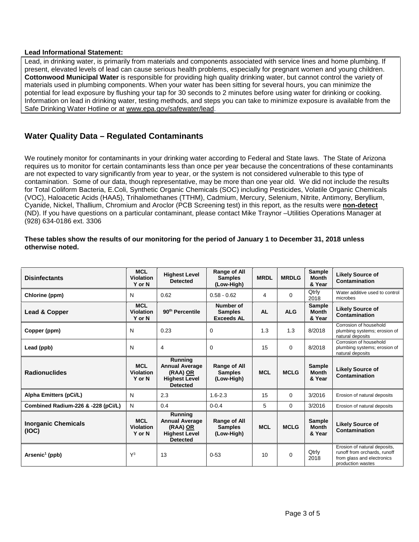# **Lead Informational Statement:**

Lead, in drinking water, is primarily from materials and components associated with service lines and home plumbing. If present, elevated levels of lead can cause serious health problems, especially for pregnant women and young children. **Cottonwood Municipal Water** is responsible for providing high quality drinking water, but cannot control the variety of materials used in plumbing components. When your water has been sitting for several hours, you can minimize the potential for lead exposure by flushing your tap for 30 seconds to 2 minutes before using water for drinking or cooking. Information on lead in drinking water, testing methods, and steps you can take to minimize exposure is available from the Safe Drinking Water Hotline or at [www.epa.gov/safewater/lead.](http://www.epa.gov/safewater/lead)

# **Water Quality Data – Regulated Contaminants**

We routinely monitor for contaminants in your drinking water according to Federal and State laws. The State of Arizona requires us to monitor for certain contaminants less than once per year because the concentrations of these contaminants are not expected to vary significantly from year to year, or the system is not considered vulnerable to this type of contamination. Some of our data, though representative, may be more than one year old. We did not include the results for Total Coliform Bacteria, E.Coli, Synthetic Organic Chemicals (SOC) including Pesticides, Volatile Organic Chemicals (VOC), Haloacetic Acids (HAA5), Trihalomethanes (TTHM), Cadmium, Mercury, Selenium, Nitrite, Antimony, Beryllium, Cyanide, Nickel, Thallium, Chromium and Aroclor (PCB Screening test) in this report, as the results were **non-detect** (ND). If you have questions on a particular contaminant, please contact Mike Traynor –Utilities Operations Manager at (928) 634-0186 ext. 3306

# **These tables show the results of our monitoring for the period of January 1 to December 31, 2018 unless otherwise noted.**

| <b>Disinfectants</b>                | <b>MCL</b><br><b>Violation</b><br>Y or N | <b>Highest Level</b><br><b>Detected</b>                                                 | Range of All<br><b>Samples</b><br>(Low-High)     | <b>MRDL</b> | <b>MRDLG</b> | <b>Sample</b><br><b>Month</b><br>& Year | <b>Likely Source of</b><br>Contamination                                                                        |
|-------------------------------------|------------------------------------------|-----------------------------------------------------------------------------------------|--------------------------------------------------|-------------|--------------|-----------------------------------------|-----------------------------------------------------------------------------------------------------------------|
| Chlorine (ppm)                      | N                                        | 0.62                                                                                    | $0.58 - 0.62$                                    | 4           | $\Omega$     | Qtrly<br>2018                           | Water additive used to control<br>microbes                                                                      |
| Lead & Copper                       | <b>MCL</b><br>Violation<br>Y or N        | 90 <sup>th</sup> Percentile                                                             | Number of<br><b>Samples</b><br><b>Exceeds AL</b> | <b>AL</b>   | <b>ALG</b>   | <b>Sample</b><br><b>Month</b><br>& Year | <b>Likely Source of</b><br>Contamination                                                                        |
| Copper (ppm)                        | N                                        | 0.23                                                                                    | 0                                                | 1.3         | 1.3          | 8/2018                                  | Corrosion of household<br>plumbing systems; erosion of<br>natural deposits                                      |
| Lead (ppb)                          | N                                        | 4                                                                                       | 0                                                | 15          | $\Omega$     | 8/2018                                  | Corrosion of household<br>plumbing systems; erosion of<br>natural deposits                                      |
| <b>Radionuclides</b>                | <b>MCL</b><br><b>Violation</b><br>Y or N | Running<br><b>Annual Average</b><br>(RAA) OR<br><b>Highest Level</b><br><b>Detected</b> | Range of All<br><b>Samples</b><br>(Low-High)     | <b>MCL</b>  | <b>MCLG</b>  | <b>Sample</b><br><b>Month</b><br>& Year | <b>Likely Source of</b><br><b>Contamination</b>                                                                 |
| <b>Alpha Emitters (pCi/L)</b>       | N                                        | 2.3                                                                                     | $1.6 - 2.3$                                      | 15          | $\Omega$     | 3/2016                                  | Erosion of natural deposits                                                                                     |
| Combined Radium-226 & -228 (pCi/L)  | $\mathsf{N}$                             | 0.4                                                                                     | $0 - 0.4$                                        | 5           | $\Omega$     | 3/2016                                  | Erosion of natural deposits                                                                                     |
| <b>Inorganic Chemicals</b><br>(IOC) | <b>MCL</b><br><b>Violation</b><br>Y or N | Running<br><b>Annual Average</b><br>(RAA) OR<br><b>Highest Level</b><br><b>Detected</b> | Range of All<br><b>Samples</b><br>(Low-High)     | <b>MCL</b>  | <b>MCLG</b>  | <b>Sample</b><br><b>Month</b><br>& Year | <b>Likely Source of</b><br>Contamination                                                                        |
| Arsenic <sup>1</sup> (ppb)          | $Y^3$                                    | 13                                                                                      | $0 - 53$                                         | 10          | $\Omega$     | Qtrly<br>2018                           | Erosion of natural deposits,<br>runoff from orchards, runoff<br>from glass and electronics<br>production wastes |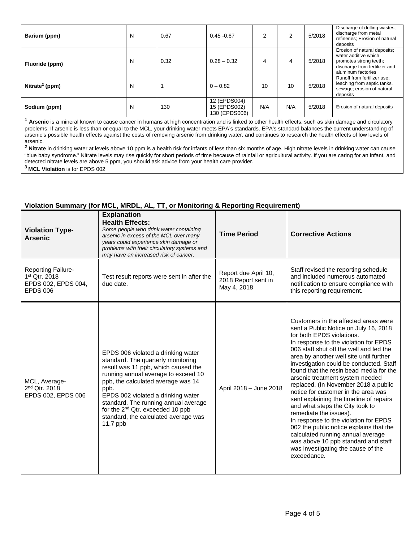| Barium (ppm)               | N | 0.67 | $0.45 - 0.67$                                 | 2   |     | 5/2018 | Discharge of drilling wastes;<br>discharge from metal<br>refineries; Erosion of natural<br>deposits                                   |
|----------------------------|---|------|-----------------------------------------------|-----|-----|--------|---------------------------------------------------------------------------------------------------------------------------------------|
| Fluoride (ppm)             | N | 0.32 | $0.28 - 0.32$                                 | 4   | 4   | 5/2018 | Erosion of natural deposits;<br>water additive which<br>promotes strong teeth;<br>discharge from fertilizer and<br>aluminum factories |
| Nitrate <sup>2</sup> (ppm) | N |      | $0 - 0.82$                                    | 10  | 10  | 5/2018 | Runoff from fertilizer use:<br>leaching from septic tanks,<br>sewage; erosion of natural<br>deposits                                  |
| Sodium (ppm)               | N | 130  | 12 (EPDS004)<br>15 (EPDS002)<br>130 (EPDS006) | N/A | N/A | 5/2018 | Erosion of natural deposits                                                                                                           |

**<sup>1</sup> Arsenic** is a mineral known to cause cancer in humans at high concentration and is linked to other health effects, such as skin damage and circulatory problems. If arsenic is less than or equal to the MCL, your drinking water meets EPA's standards. EPA's standard balances the current understanding of arsenic's possible health effects against the costs of removing arsenic from drinking water, and continues to research the health effects of low levels of arsenic.

**<sup>2</sup> Nitrate** in drinking water at levels above 10 ppm is a health risk for infants of less than six months of age. High nitrate levels in drinking water can cause "blue baby syndrome." Nitrate levels may rise quickly for short periods of time because of rainfall or agricultural activity. If you are caring for an infant, and detected nitrate levels are above 5 ppm, you should ask advice from your health care provider. **3 MCL Violation** is for EPDS 002

# **Violation Summary (for MCL, MRDL, AL, TT, or Monitoring & Reporting Requirement)**

| <b>Violation Type-</b><br><b>Arsenic</b>                                      | <b>Explanation</b><br><b>Health Effects:</b><br>Some people who drink water containing<br>arsenic in excess of the MCL over many<br>years could experience skin damage or<br>problems with their circulatory systems and<br>may have an increased risk of cancer.                                                                                                                        | <b>Time Period</b>                                         | <b>Corrective Actions</b>                                                                                                                                                                                                                                                                                                                                                                                                                                                                                                                                                                                                                                                                                                                                                      |
|-------------------------------------------------------------------------------|------------------------------------------------------------------------------------------------------------------------------------------------------------------------------------------------------------------------------------------------------------------------------------------------------------------------------------------------------------------------------------------|------------------------------------------------------------|--------------------------------------------------------------------------------------------------------------------------------------------------------------------------------------------------------------------------------------------------------------------------------------------------------------------------------------------------------------------------------------------------------------------------------------------------------------------------------------------------------------------------------------------------------------------------------------------------------------------------------------------------------------------------------------------------------------------------------------------------------------------------------|
| Reporting Failure-<br>1st Qtr. 2018<br>EPDS 002, EPDS 004,<br><b>EPDS 006</b> | Test result reports were sent in after the<br>due date.                                                                                                                                                                                                                                                                                                                                  | Report due April 10,<br>2018 Report sent in<br>May 4, 2018 | Staff revised the reporting schedule<br>and included numerous automated<br>notification to ensure compliance with<br>this reporting requirement.                                                                                                                                                                                                                                                                                                                                                                                                                                                                                                                                                                                                                               |
| MCL, Average-<br>2 <sup>nd</sup> Qtr. 2018<br>EPDS 002, EPDS 006              | EPDS 006 violated a drinking water<br>standard. The quarterly monitoring<br>result was 11 ppb, which caused the<br>running annual average to exceed 10<br>ppb, the calculated average was 14<br>ppb.<br>EPDS 002 violated a drinking water<br>standard. The running annual average<br>for the 2 <sup>nd</sup> Qtr. exceeded 10 ppb<br>standard, the calculated average was<br>11.7 $ppb$ | April 2018 - June 2018                                     | Customers in the affected areas were<br>sent a Public Notice on July 16, 2018<br>for both EPDS violations.<br>In response to the violation for EPDS<br>006 staff shut off the well and fed the<br>area by another well site until further<br>investigation could be conducted. Staff<br>found that the resin bead media for the<br>arsenic treatment system needed<br>replaced. (In November 2018 a public<br>notice for customer in the area was<br>sent explaining the timeline of repairs<br>and what steps the City took to<br>remediate the issues).<br>In response to the violation for EPDS<br>002 the public notice explains that the<br>calculated running annual average<br>was above 10 ppb standard and staff<br>was investigating the cause of the<br>exceedance. |